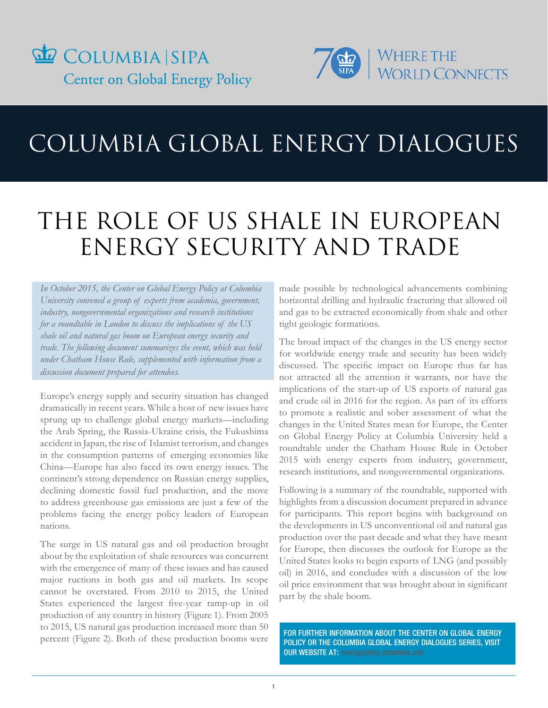



# COLUMBIA GLOBAL ENERGY DIALOGUES

# THE ROLE OF US SHALE IN EUROPEAN ENERGY SECURITY AND TRADE

*In October 2015, the Center on Global Energy Policy at Columbia University convened a group of experts from academia, government, industry, nongovernmental organizations and research institutions for a roundtable in London to discuss the implications of the US shale oil and natural gas boom on European energy security and trade. The following document summarizes the event, which was held under Chatham House Rule, supplemented with information from a discussion document prepared for attendees.* 

Europe's energy supply and security situation has changed dramatically in recent years. While a host of new issues have sprung up to challenge global energy markets—including the Arab Spring, the Russia-Ukraine crisis, the Fukushima accident in Japan, the rise of Islamist terrorism, and changes in the consumption patterns of emerging economies like China—Europe has also faced its own energy issues. The continent's strong dependence on Russian energy supplies, declining domestic fossil fuel production, and the move to address greenhouse gas emissions are just a few of the problems facing the energy policy leaders of European nations.

The surge in US natural gas and oil production brought about by the exploitation of shale resources was concurrent with the emergence of many of these issues and has caused major ructions in both gas and oil markets. Its scope cannot be overstated. From 2010 to 2015, the United States experienced the largest five-year ramp-up in oil production of any country in history (Figure 1). From 2005 to 2015, US natural gas production increased more than 50 percent (Figure 2). Both of these production booms were

made possible by technological advancements combining horizontal drilling and hydraulic fracturing that allowed oil and gas to be extracted economically from shale and other tight geologic formations.

The broad impact of the changes in the US energy sector for worldwide energy trade and security has been widely discussed. The specific impact on Europe thus far has not attracted all the attention it warrants, nor have the implications of the start-up of US exports of natural gas and crude oil in 2016 for the region. As part of its efforts to promote a realistic and sober assessment of what the changes in the United States mean for Europe, the Center on Global Energy Policy at Columbia University held a roundtable under the Chatham House Rule in October 2015 with energy experts from industry, government, research institutions, and nongovernmental organizations.

Following is a summary of the roundtable, supported with highlights from a discussion document prepared in advance for participants. This report begins with background on the developments in US unconventional oil and natural gas production over the past decade and what they have meant for Europe, then discusses the outlook for Europe as the United States looks to begin exports of LNG (and possibly oil) in 2016, and concludes with a discussion of the low oil price environment that was brought about in significant part by the shale boom.

FOR FURTHER INFORMATION ABOUT THE CENTER ON GLOBAL ENERGY POLICY OR THE COLUMBIA GLOBAL ENERGY DIALOGUES SERIES, VISIT OUR WEBSITE AT: energypolicy.columbia.edu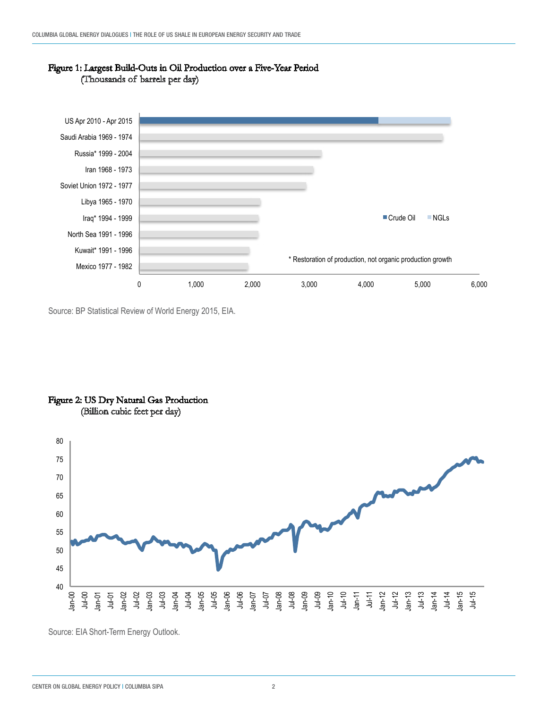

#### Figure 1: Largest Build-Outs in Oil Production over a Five-Year Period (Thousands of barrels per day)

Source: BP Statistical Review of World Energy 2015, EIA.





Source: EIA Short-Term Energy Outlook.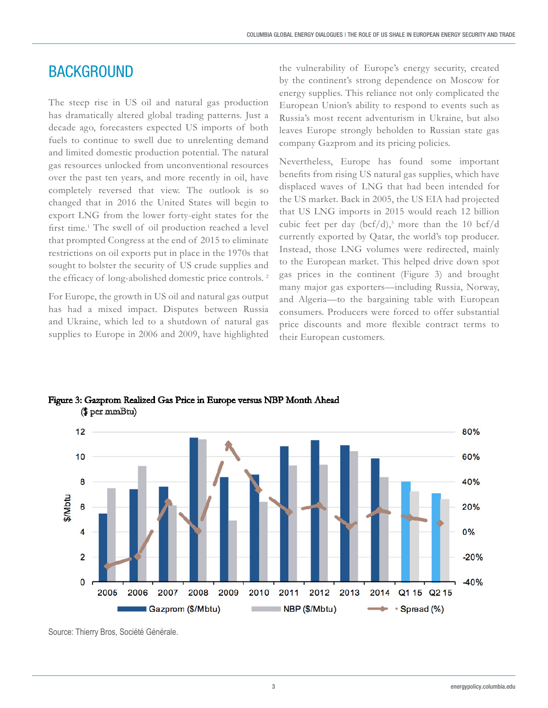### **BACKGROUND**

The steep rise in US oil and natural gas production has dramatically altered global trading patterns. Just a decade ago, forecasters expected US imports of both fuels to continue to swell due to unrelenting demand and limited domestic production potential. The natural gas resources unlocked from unconventional resources over the past ten years, and more recently in oil, have completely reversed that view. The outlook is so changed that in 2016 the United States will begin to export LNG from the lower forty-eight states for the first time.<sup>1</sup> The swell of oil production reached a level that prompted Congress at the end of 2015 to eliminate restrictions on oil exports put in place in the 1970s that sought to bolster the security of US crude supplies and the efficacy of long-abolished domestic price controls. <sup>2</sup>

For Europe, the growth in US oil and natural gas output has had a mixed impact. Disputes between Russia and Ukraine, which led to a shutdown of natural gas supplies to Europe in 2006 and 2009, have highlighted

the vulnerability of Europe's energy security, created by the continent's strong dependence on Moscow for energy supplies. This reliance not only complicated the European Union's ability to respond to events such as Russia's most recent adventurism in Ukraine, but also leaves Europe strongly beholden to Russian state gas company Gazprom and its pricing policies.

Nevertheless, Europe has found some important benefits from rising US natural gas supplies, which have displaced waves of LNG that had been intended for the US market. Back in 2005, the US EIA had projected that US LNG imports in 2015 would reach 12 billion cubic feet per day (bcf/d),<sup>3</sup> more than the 10 bcf/d currently exported by Qatar, the world's top producer. Instead, those LNG volumes were redirected, mainly to the European market. This helped drive down spot gas prices in the continent (Figure 3) and brought many major gas exporters—including Russia, Norway, and Algeria—to the bargaining table with European consumers. Producers were forced to offer substantial price discounts and more flexible contract terms to their European customers.



#### Figure 3: Gazprom Realized Gas Price in Europe versus NBP Month Ahead (\$ per mmBtu)

Source: Thierry Bros, Société Générale.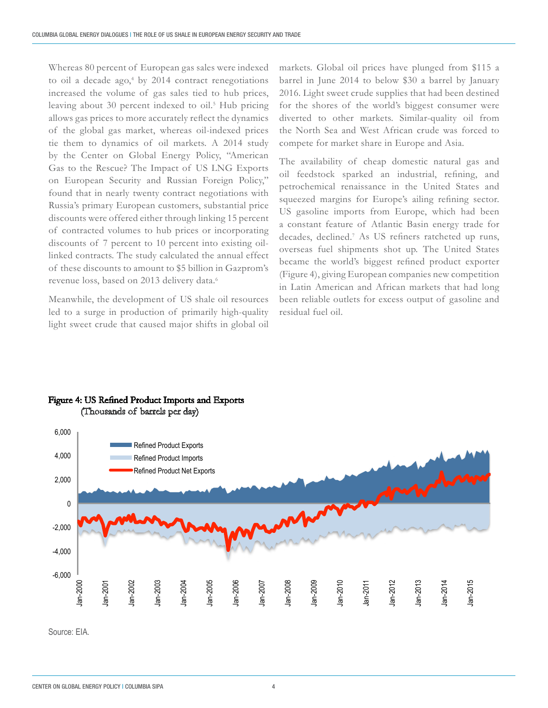Whereas 80 percent of European gas sales were indexed to oil a decade ago,<sup>4</sup> by 2014 contract renegotiations increased the volume of gas sales tied to hub prices, leaving about 30 percent indexed to oil.<sup>5</sup> Hub pricing allows gas prices to more accurately reflect the dynamics of the global gas market, whereas oil-indexed prices tie them to dynamics of oil markets. A 2014 study by the Center on Global Energy Policy, "American Gas to the Rescue? The Impact of US LNG Exports on European Security and Russian Foreign Policy," found that in nearly twenty contract negotiations with Russia's primary European customers, substantial price discounts were offered either through linking 15 percent of contracted volumes to hub prices or incorporating discounts of 7 percent to 10 percent into existing oillinked contracts. The study calculated the annual effect of these discounts to amount to \$5 billion in Gazprom's revenue loss, based on 2013 delivery data.6

Meanwhile, the development of US shale oil resources led to a surge in production of primarily high-quality light sweet crude that caused major shifts in global oil

markets. Global oil prices have plunged from \$115 a barrel in June 2014 to below \$30 a barrel by January 2016. Light sweet crude supplies that had been destined for the shores of the world's biggest consumer were diverted to other markets. Similar-quality oil from the North Sea and West African crude was forced to compete for market share in Europe and Asia.

The availability of cheap domestic natural gas and oil feedstock sparked an industrial, refining, and petrochemical renaissance in the United States and squeezed margins for Europe's ailing refining sector. US gasoline imports from Europe, which had been a constant feature of Atlantic Basin energy trade for decades, declined.7 As US refiners ratcheted up runs, overseas fuel shipments shot up. The United States became the world's biggest refined product exporter (Figure 4), giving European companies new competition in Latin American and African markets that had long been reliable outlets for excess output of gasoline and residual fuel oil.



#### Figure 4: US Refined Product Imports and Exports (Thousands of barrels per day)

Source: EIA.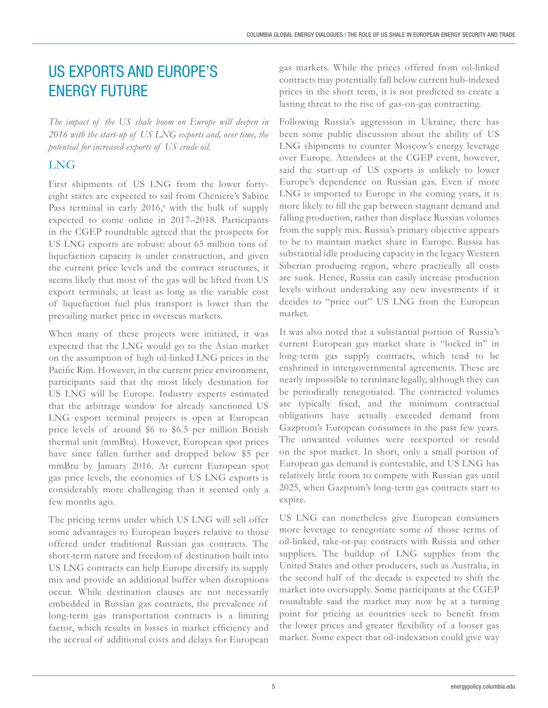# US EXPORTS AND EUROPE'S ENERGY FUTURE

*The impact of the US shale boom on Europe will deepen in 2016 with the start-up of US LNG exports and, over time, the potential for increased exports of US crude oil.*

### LNG

First shipments of US LNG from the lower fortyeight states are expected to sail from Cheniere's Sabine Pass terminal in early 2016,<sup>8</sup> with the bulk of supply expected to come online in 2017–2018. Participants in the CGEP roundtable agreed that the prospects for US LNG exports are robust: about 65 million tons of liquefaction capacity is under construction, and given the current price levels and the contract structures, it seems likely that most of the gas will be lifted from US export terminals, at least as long as the variable cost of liquefaction fuel plus transport is lower than the prevailing market price in overseas markets.

When many of these projects were initiated, it was expected that the LNG would go to the Asian market on the assumption of high oil-linked LNG prices in the Pacific Rim. However, in the current price environment, participants said that the most likely destination for US LNG will be Europe. Industry experts estimated that the arbitrage window for already sanctioned US LNG export terminal projects is open at European price levels of around \$6 to \$6.5 per million British thermal unit (mmBtu). However, European spot prices have since fallen further and dropped below \$5 per mmBtu by January 2016. At current European spot gas price levels, the economics of US LNG exports is considerably more challenging than it seemed only a few months ago.

The pricing terms under which US LNG will sell offer some advantages to European buyers relative to those offered under traditional Russian gas contracts. The short-term nature and freedom of destination built into US LNG contracts can help Europe diversify its supply mix and provide an additional buffer when disruptions occur. While destination clauses are not necessarily embedded in Russian gas contracts, the prevalence of long-term gas transportation contracts is a limiting factor, which results in losses in market efficiency and the accrual of additional costs and delays for European

gas markets. While the prices offered from oil-linked contracts may potentially fall below current hub-indexed prices in the short term, it is not predicted to create a lasting threat to the rise of gas-on-gas contracting.

Following Russia's aggression in Ukraine, there has been some public discussion about the ability of US LNG shipments to counter Moscow's energy leverage over Europe. Attendees at the CGEP event, however, said the start-up of US exports is unlikely to lower Europe's dependence on Russian gas. Even if more LNG is imported to Europe in the coming years, it is more likely to fill the gap between stagnant demand and falling production, rather than displace Russian volumes from the supply mix. Russia's primary objective appears to be to maintain market share in Europe. Russia has substantial idle producing capacity in the legacy Western Siberian producing region, where practically all costs are sunk. Hence, Russia can easily increase production levels without undertaking any new investments if it decides to "price out" US LNG from the European market.

It was also noted that a substantial portion of Russia's current European gas market share is "locked in" in long-term gas supply contracts, which tend to be enshrined in intergovernmental agreements. These are nearly impossible to terminate legally, although they can be periodically renegotiated. The contracted volumes are typically fixed, and the minimum contractual obligations have actually exceeded demand from Gazprom's European consumers in the past few years. The unwanted volumes were reexported or resold on the spot market. In short, only a small portion of European gas demand is contestable, and US LNG has relatively little room to compete with Russian gas until 2025, when Gazprom's long-term gas contracts start to expire.

US LNG can nonetheless give European consumers more leverage to renegotiate some of those terms of oil-linked, take-or-pay contracts with Russia and other suppliers. The buildup of LNG supplies from the United States and other producers, such as Australia, in the second half of the decade is expected to shift the market into oversupply. Some participants at the CGEP roundtable said the market may now be at a turning point for pricing as countries seek to benefit from the lower prices and greater flexibility of a looser gas market. Some expect that oil-indexation could give way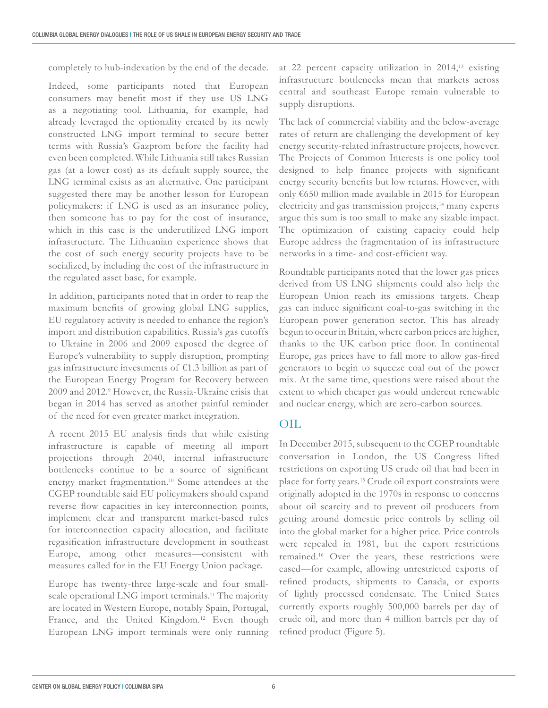completely to hub-indexation by the end of the decade.

Indeed, some participants noted that European consumers may benefit most if they use US LNG as a negotiating tool. Lithuania, for example, had already leveraged the optionality created by its newly constructed LNG import terminal to secure better terms with Russia's Gazprom before the facility had even been completed. While Lithuania still takes Russian gas (at a lower cost) as its default supply source, the LNG terminal exists as an alternative. One participant suggested there may be another lesson for European policymakers: if LNG is used as an insurance policy, then someone has to pay for the cost of insurance, which in this case is the underutilized LNG import infrastructure. The Lithuanian experience shows that the cost of such energy security projects have to be socialized, by including the cost of the infrastructure in the regulated asset base, for example.

In addition, participants noted that in order to reap the maximum benefits of growing global LNG supplies, EU regulatory activity is needed to enhance the region's import and distribution capabilities. Russia's gas cutoffs to Ukraine in 2006 and 2009 exposed the degree of Europe's vulnerability to supply disruption, prompting gas infrastructure investments of €1.3 billion as part of the European Energy Program for Recovery between 2009 and 2012.9 However, the Russia-Ukraine crisis that began in 2014 has served as another painful reminder of the need for even greater market integration.

A recent 2015 EU analysis finds that while existing infrastructure is capable of meeting all import projections through 2040, internal infrastructure bottlenecks continue to be a source of significant energy market fragmentation.10 Some attendees at the CGEP roundtable said EU policymakers should expand reverse flow capacities in key interconnection points, implement clear and transparent market-based rules for interconnection capacity allocation, and facilitate regasification infrastructure development in southeast Europe, among other measures—consistent with measures called for in the EU Energy Union package.

Europe has twenty-three large-scale and four smallscale operational LNG import terminals.<sup>11</sup> The majority are located in Western Europe, notably Spain, Portugal, France, and the United Kingdom.<sup>12</sup> Even though European LNG import terminals were only running at 22 percent capacity utilization in 2014,13 existing infrastructure bottlenecks mean that markets across central and southeast Europe remain vulnerable to supply disruptions.

The lack of commercial viability and the below-average rates of return are challenging the development of key energy security-related infrastructure projects, however. The Projects of Common Interests is one policy tool designed to help finance projects with significant energy security benefits but low returns. However, with only €650 million made available in 2015 for European electricity and gas transmission projects,<sup>14</sup> many experts argue this sum is too small to make any sizable impact. The optimization of existing capacity could help Europe address the fragmentation of its infrastructure networks in a time- and cost-efficient way.

Roundtable participants noted that the lower gas prices derived from US LNG shipments could also help the European Union reach its emissions targets. Cheap gas can induce significant coal-to-gas switching in the European power generation sector. This has already begun to occur in Britain, where carbon prices are higher, thanks to the UK carbon price floor. In continental Europe, gas prices have to fall more to allow gas-fired generators to begin to squeeze coal out of the power mix. At the same time, questions were raised about the extent to which cheaper gas would undercut renewable and nuclear energy, which are zero-carbon sources.

### OIL

In December 2015, subsequent to the CGEP roundtable conversation in London, the US Congress lifted restrictions on exporting US crude oil that had been in place for forty years.15 Crude oil export constraints were originally adopted in the 1970s in response to concerns about oil scarcity and to prevent oil producers from getting around domestic price controls by selling oil into the global market for a higher price. Price controls were repealed in 1981, but the export restrictions remained.16 Over the years, these restrictions were eased—for example, allowing unrestricted exports of refined products, shipments to Canada, or exports of lightly processed condensate. The United States currently exports roughly 500,000 barrels per day of crude oil, and more than 4 million barrels per day of refined product (Figure 5).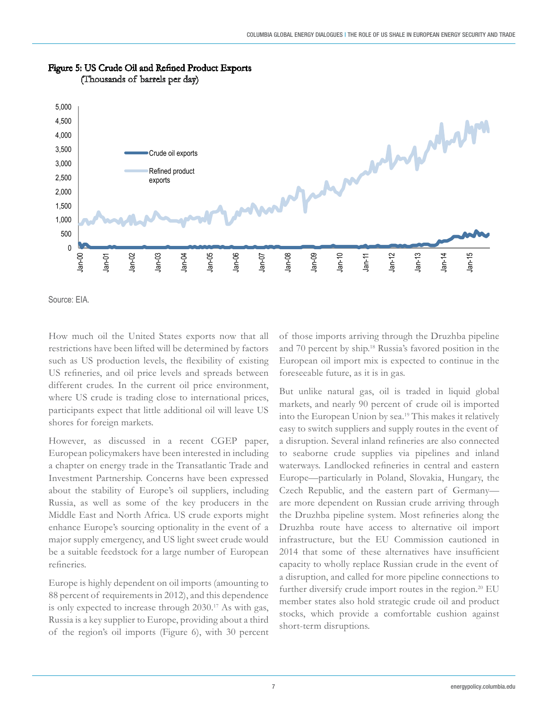

#### Figure 5: US Crude Oil and Refined Product Exports (Thousands of barrels per day)

Source: EIA.

How much oil the United States exports now that all restrictions have been lifted will be determined by factors such as US production levels, the flexibility of existing US refineries, and oil price levels and spreads between different crudes. In the current oil price environment, where US crude is trading close to international prices, participants expect that little additional oil will leave US shores for foreign markets.

However, as discussed in a recent CGEP paper, European policymakers have been interested in including a chapter on energy trade in the Transatlantic Trade and Investment Partnership. Concerns have been expressed about the stability of Europe's oil suppliers, including Russia, as well as some of the key producers in the Middle East and North Africa. US crude exports might enhance Europe's sourcing optionality in the event of a major supply emergency, and US light sweet crude would be a suitable feedstock for a large number of European refineries.

Europe is highly dependent on oil imports (amounting to 88 percent of requirements in 2012), and this dependence is only expected to increase through 2030.17 As with gas, Russia is a key supplier to Europe, providing about a third of the region's oil imports (Figure 6), with 30 percent of those imports arriving through the Druzhba pipeline and 70 percent by ship.18 Russia's favored position in the European oil import mix is expected to continue in the foreseeable future, as it is in gas.

But unlike natural gas, oil is traded in liquid global markets, and nearly 90 percent of crude oil is imported into the European Union by sea.19 This makes it relatively easy to switch suppliers and supply routes in the event of a disruption. Several inland refineries are also connected to seaborne crude supplies via pipelines and inland waterways. Landlocked refineries in central and eastern Europe—particularly in Poland, Slovakia, Hungary, the Czech Republic, and the eastern part of Germany are more dependent on Russian crude arriving through the Druzhba pipeline system. Most refineries along the Druzhba route have access to alternative oil import infrastructure, but the EU Commission cautioned in 2014 that some of these alternatives have insufficient capacity to wholly replace Russian crude in the event of a disruption, and called for more pipeline connections to further diversify crude import routes in the region.<sup>20</sup> EU member states also hold strategic crude oil and product stocks, which provide a comfortable cushion against short-term disruptions.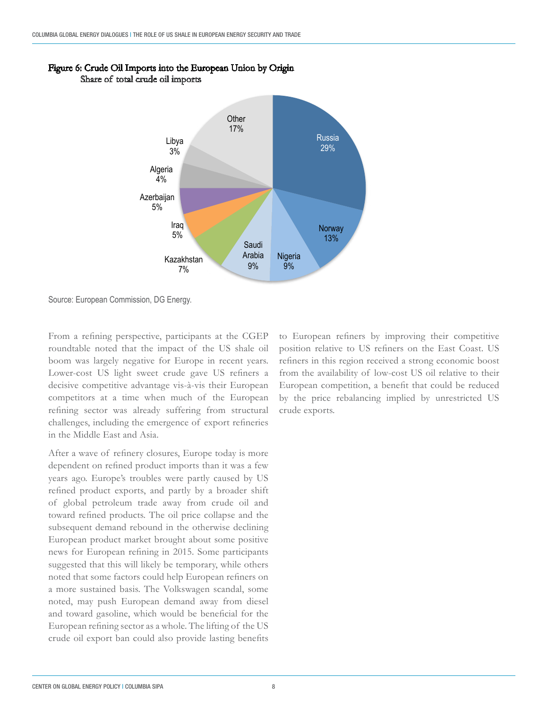

#### Figure 6: Crude Oil Imports into the European Union by Origin Share of total crude oil imports

Source: European Commission, DG Energy.

From a refining perspective, participants at the CGEP roundtable noted that the impact of the US shale oil boom was largely negative for Europe in recent years. Lower-cost US light sweet crude gave US refiners a decisive competitive advantage vis-à-vis their European competitors at a time when much of the European refining sector was already suffering from structural challenges, including the emergence of export refineries in the Middle East and Asia.

After a wave of refinery closures, Europe today is more dependent on refined product imports than it was a few years ago. Europe's troubles were partly caused by US refined product exports, and partly by a broader shift of global petroleum trade away from crude oil and toward refined products. The oil price collapse and the subsequent demand rebound in the otherwise declining European product market brought about some positive news for European refining in 2015. Some participants suggested that this will likely be temporary, while others noted that some factors could help European refiners on a more sustained basis. The Volkswagen scandal, some noted, may push European demand away from diesel and toward gasoline, which would be beneficial for the European refining sector as a whole. The lifting of the US crude oil export ban could also provide lasting benefits

to European refiners by improving their competitive position relative to US refiners on the East Coast. US refiners in this region received a strong economic boost from the availability of low-cost US oil relative to their European competition, a benefit that could be reduced by the price rebalancing implied by unrestricted US crude exports.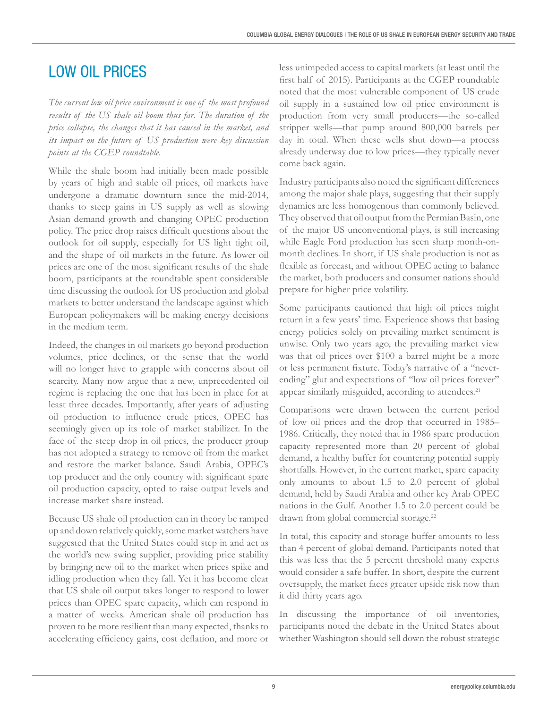## LOW OIL PRICES

*The current low oil price environment is one of the most profound results of the US shale oil boom thus far. The duration of the price collapse, the changes that it has caused in the market, and its impact on the future of US production were key discussion points at the CGEP roundtable.* 

While the shale boom had initially been made possible by years of high and stable oil prices, oil markets have undergone a dramatic downturn since the mid-2014, thanks to steep gains in US supply as well as slowing Asian demand growth and changing OPEC production policy. The price drop raises difficult questions about the outlook for oil supply, especially for US light tight oil, and the shape of oil markets in the future. As lower oil prices are one of the most significant results of the shale boom, participants at the roundtable spent considerable time discussing the outlook for US production and global markets to better understand the landscape against which European policymakers will be making energy decisions in the medium term.

Indeed, the changes in oil markets go beyond production volumes, price declines, or the sense that the world will no longer have to grapple with concerns about oil scarcity. Many now argue that a new, unprecedented oil regime is replacing the one that has been in place for at least three decades. Importantly, after years of adjusting oil production to influence crude prices, OPEC has seemingly given up its role of market stabilizer. In the face of the steep drop in oil prices, the producer group has not adopted a strategy to remove oil from the market and restore the market balance. Saudi Arabia, OPEC's top producer and the only country with significant spare oil production capacity, opted to raise output levels and increase market share instead.

Because US shale oil production can in theory be ramped up and down relatively quickly, some market watchers have suggested that the United States could step in and act as the world's new swing supplier, providing price stability by bringing new oil to the market when prices spike and idling production when they fall. Yet it has become clear that US shale oil output takes longer to respond to lower prices than OPEC spare capacity, which can respond in a matter of weeks. American shale oil production has proven to be more resilient than many expected, thanks to accelerating efficiency gains, cost deflation, and more or

less unimpeded access to capital markets (at least until the first half of 2015). Participants at the CGEP roundtable noted that the most vulnerable component of US crude oil supply in a sustained low oil price environment is production from very small producers—the so-called stripper wells—that pump around 800,000 barrels per day in total. When these wells shut down—a process already underway due to low prices—they typically never come back again.

Industry participants also noted the significant differences among the major shale plays, suggesting that their supply dynamics are less homogenous than commonly believed. They observed that oil output from the Permian Basin, one of the major US unconventional plays, is still increasing while Eagle Ford production has seen sharp month-onmonth declines. In short, if US shale production is not as flexible as forecast, and without OPEC acting to balance the market, both producers and consumer nations should prepare for higher price volatility.

Some participants cautioned that high oil prices might return in a few years' time. Experience shows that basing energy policies solely on prevailing market sentiment is unwise. Only two years ago, the prevailing market view was that oil prices over \$100 a barrel might be a more or less permanent fixture. Today's narrative of a "neverending" glut and expectations of "low oil prices forever" appear similarly misguided, according to attendees.<sup>21</sup>

Comparisons were drawn between the current period of low oil prices and the drop that occurred in 1985– 1986. Critically, they noted that in 1986 spare production capacity represented more than 20 percent of global demand, a healthy buffer for countering potential supply shortfalls. However, in the current market, spare capacity only amounts to about 1.5 to 2.0 percent of global demand, held by Saudi Arabia and other key Arab OPEC nations in the Gulf. Another 1.5 to 2.0 percent could be drawn from global commercial storage.<sup>22</sup>

In total, this capacity and storage buffer amounts to less than 4 percent of global demand. Participants noted that this was less that the 5 percent threshold many experts would consider a safe buffer. In short, despite the current oversupply, the market faces greater upside risk now than it did thirty years ago.

In discussing the importance of oil inventories, participants noted the debate in the United States about whether Washington should sell down the robust strategic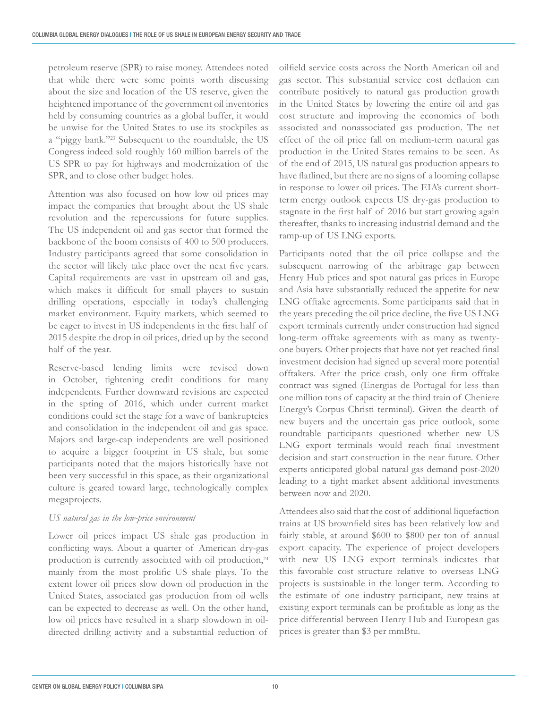petroleum reserve (SPR) to raise money. Attendees noted that while there were some points worth discussing about the size and location of the US reserve, given the heightened importance of the government oil inventories held by consuming countries as a global buffer, it would be unwise for the United States to use its stockpiles as a "piggy bank."23 Subsequent to the roundtable, the US Congress indeed sold roughly 160 million barrels of the US SPR to pay for highways and modernization of the SPR, and to close other budget holes.

Attention was also focused on how low oil prices may impact the companies that brought about the US shale revolution and the repercussions for future supplies. The US independent oil and gas sector that formed the backbone of the boom consists of 400 to 500 producers. Industry participants agreed that some consolidation in the sector will likely take place over the next five years. Capital requirements are vast in upstream oil and gas, which makes it difficult for small players to sustain drilling operations, especially in today's challenging market environment. Equity markets, which seemed to be eager to invest in US independents in the first half of 2015 despite the drop in oil prices, dried up by the second half of the year.

Reserve-based lending limits were revised down in October, tightening credit conditions for many independents. Further downward revisions are expected in the spring of 2016, which under current market conditions could set the stage for a wave of bankruptcies and consolidation in the independent oil and gas space. Majors and large-cap independents are well positioned to acquire a bigger footprint in US shale, but some participants noted that the majors historically have not been very successful in this space, as their organizational culture is geared toward large, technologically complex megaprojects.

#### *US natural gas in the low-price environment*

Lower oil prices impact US shale gas production in conflicting ways. About a quarter of American dry-gas production is currently associated with oil production,<sup>24</sup> mainly from the most prolific US shale plays. To the extent lower oil prices slow down oil production in the United States, associated gas production from oil wells can be expected to decrease as well. On the other hand, low oil prices have resulted in a sharp slowdown in oildirected drilling activity and a substantial reduction of

oilfield service costs across the North American oil and gas sector. This substantial service cost deflation can contribute positively to natural gas production growth in the United States by lowering the entire oil and gas cost structure and improving the economics of both associated and nonassociated gas production. The net effect of the oil price fall on medium-term natural gas production in the United States remains to be seen. As of the end of 2015, US natural gas production appears to have flatlined, but there are no signs of a looming collapse in response to lower oil prices. The EIA's current shortterm energy outlook expects US dry-gas production to stagnate in the first half of 2016 but start growing again thereafter, thanks to increasing industrial demand and the ramp-up of US LNG exports.

Participants noted that the oil price collapse and the subsequent narrowing of the arbitrage gap between Henry Hub prices and spot natural gas prices in Europe and Asia have substantially reduced the appetite for new LNG offtake agreements. Some participants said that in the years preceding the oil price decline, the five US LNG export terminals currently under construction had signed long-term offtake agreements with as many as twentyone buyers. Other projects that have not yet reached final investment decision had signed up several more potential offtakers. After the price crash, only one firm offtake contract was signed (Energias de Portugal for less than one million tons of capacity at the third train of Cheniere Energy's Corpus Christi terminal). Given the dearth of new buyers and the uncertain gas price outlook, some roundtable participants questioned whether new US LNG export terminals would reach final investment decision and start construction in the near future. Other experts anticipated global natural gas demand post-2020 leading to a tight market absent additional investments between now and 2020.

Attendees also said that the cost of additional liquefaction trains at US brownfield sites has been relatively low and fairly stable, at around \$600 to \$800 per ton of annual export capacity. The experience of project developers with new US LNG export terminals indicates that this favorable cost structure relative to overseas LNG projects is sustainable in the longer term. According to the estimate of one industry participant, new trains at existing export terminals can be profitable as long as the price differential between Henry Hub and European gas prices is greater than \$3 per mmBtu.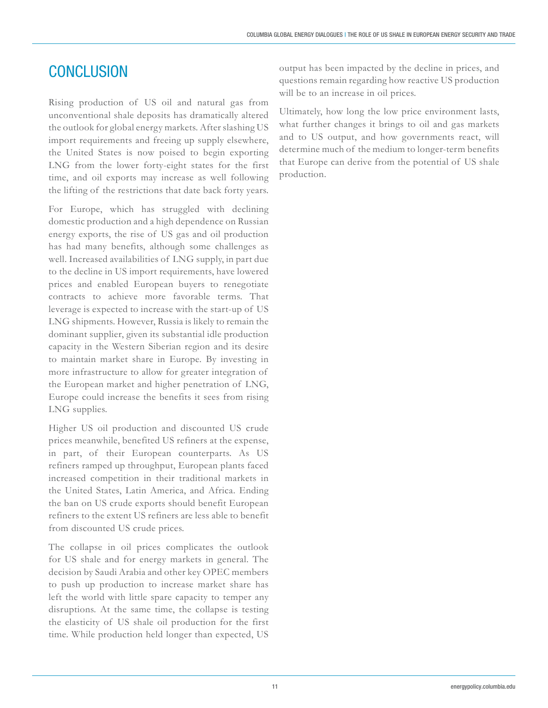## **CONCLUSION**

Rising production of US oil and natural gas from unconventional shale deposits has dramatically altered the outlook for global energy markets. After slashing US import requirements and freeing up supply elsewhere, the United States is now poised to begin exporting LNG from the lower forty-eight states for the first time, and oil exports may increase as well following the lifting of the restrictions that date back forty years.

For Europe, which has struggled with declining domestic production and a high dependence on Russian energy exports, the rise of US gas and oil production has had many benefits, although some challenges as well. Increased availabilities of LNG supply, in part due to the decline in US import requirements, have lowered prices and enabled European buyers to renegotiate contracts to achieve more favorable terms. That leverage is expected to increase with the start-up of US LNG shipments. However, Russia is likely to remain the dominant supplier, given its substantial idle production capacity in the Western Siberian region and its desire to maintain market share in Europe. By investing in more infrastructure to allow for greater integration of the European market and higher penetration of LNG, Europe could increase the benefits it sees from rising LNG supplies.

Higher US oil production and discounted US crude prices meanwhile, benefited US refiners at the expense, in part, of their European counterparts. As US refiners ramped up throughput, European plants faced increased competition in their traditional markets in the United States, Latin America, and Africa. Ending the ban on US crude exports should benefit European refiners to the extent US refiners are less able to benefit from discounted US crude prices.

The collapse in oil prices complicates the outlook for US shale and for energy markets in general. The decision by Saudi Arabia and other key OPEC members to push up production to increase market share has left the world with little spare capacity to temper any disruptions. At the same time, the collapse is testing the elasticity of US shale oil production for the first time. While production held longer than expected, US

output has been impacted by the decline in prices, and questions remain regarding how reactive US production will be to an increase in oil prices.

Ultimately, how long the low price environment lasts, what further changes it brings to oil and gas markets and to US output, and how governments react, will determine much of the medium to longer-term benefits that Europe can derive from the potential of US shale production.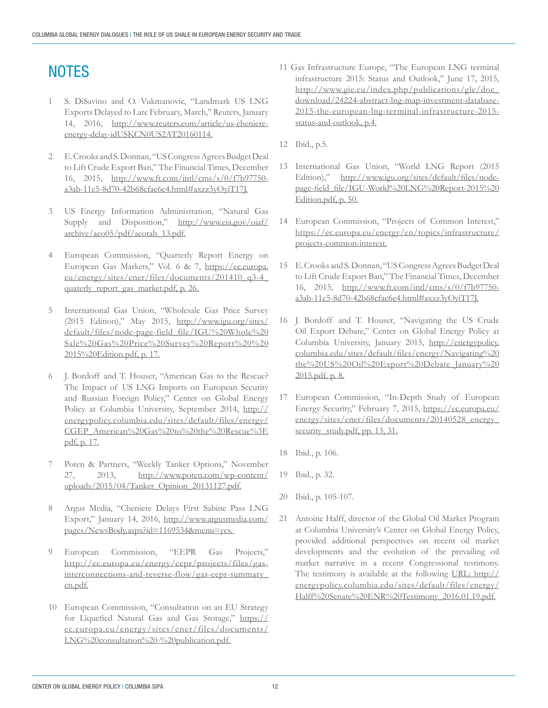# **NOTES**

- 1 S. DiSavino and O. Vukmanovic, "Landmark US LNG Exports Delayed to Late February, March," Reuters, January 14, 2016, http://www.reuters.com/article/us-cheniereenergy-delay-idUSKCN0US2AT20160114.
- 2 E. Crooks and S. Donnan, "US Congress Agrees Budget Deal to Lift Crude Export Ban," The Financial Times, December 16, 2015, http://www.ft.com/intl/cms/s/0/f7b97750 a3ab-11e5-8d70-42b68cfae6e4.html#axzz3yOyiT17J.
- 3 US Energy Information Administration, "Natural Gas Supply and Disposition," http://www.eia.gov/oiaf/ archive/aeo05/pdf/aeotab\_13.pdf.
- 4 European Commission, "Quarterly Report Energy on European Gas Markets," Vol. 6 & 7, https://ec.europa. eu/energy/sites/ener/files/documents/201410\_q3-4\_ quaterly\_report\_gas\_market.pdf, p. 26.
- 5 International Gas Union, "Wholesale Gas Price Survey (2015 Edition)," May 2015, http://www.igu.org/sites/ default/files/node-page-field\_file/IGU%20Whole%20 Sale%20Gas%20Price%20Survey%20Report%20%20 2015%20Edition.pdf, p. 17.
- 6 J. Bordoff and T. Houser, "American Gas to the Rescue? The Impact of US LNG Imports on European Security and Russian Foreign Policy," Center on Global Energy Policy at Columbia University, September 2014, http:// energypolicy.columbia.edu/sites/default/files/energy/ CGEP\_American%20Gas%20to%20the%20Rescue%3F. pdf, p. 17.
- Poten & Partners, "Weekly Tanker Options," November 27, 2013, http://www.poten.com/wp-content/ uploads/2015/04/Tanker\_Opinion\_20131127.pdf.
- 8 Argus Media, "Cheniere Delays First Sabine Pass LNG Export," January 14, 2016, http://www.argusmedia.com/ pages/NewsBody.aspx?id=1169534&menu=yes.
- 9 European Commission, "EEPR Gas Projects," http://ec.europa.eu/energy/eepr/projects/files/gasinterconnections-and-reverse-flow/gas-eepr-summary\_ en.pdf.
- 10 European Commission, "Consultation on an EU Strategy for Liquefied Natural Gas and Gas Storage," https:// ec.europa.eu/energy/sites/ener/files/documents/ LNG%20consultation%20-%20publication.pdf.
- 11 Gas Infrastructure Europe, "The European LNG terminal infrastructure 2015: Status and Outlook," June 17, 2015, http://www.gie.eu/index.php/publications/gle/doc\_ download/24224-abstract-lng-map-investment-database-2015-the-european-lng-terminal-infrastructure-2015 status-and-outlook, p.4.
- 12 Ibid., p.5.
- 13 International Gas Union, "World LNG Report (2015 Edition)," http://www.igu.org/sites/default/files/nodepage-field\_file/IGU-World%20LNG%20Report-2015%20 Edition.pdf, p. 50.
- 14 European Commission, "Projects of Common Interest," https://ec.europa.eu/energy/en/topics/infrastructure/ projects-common-interest.
- 15 E. Crooks and S. Donnan, "US Congress Agrees Budget Deal to Lift Crude Export Ban," The Financial Times, December 16, 2015, http://www.ft.com/intl/cms/s/0/f7b97750 a3ab-11e5-8d70-42b68cfae6e4.html#axzz3yOyiT17J.
- 16 J. Bordoff and T. Houser, "Navigating the US Crude Oil Export Debate," Center on Global Energy Policy at Columbia University, January 2015, http://energypolicy. columbia.edu/sites/default/files/energy/Navigating%20 the%20US%20Oil%20Export%20Debate\_January%20 2015.pdf, p. 8.
- 17 European Commission, "In-Depth Study of European Energy Security," February 7, 2015, https://ec.europa.eu/ energy/sites/ener/files/documents/20140528\_energy\_ security\_study.pdf, pp. 13, 31.
- 18 Ibid., p. 106.
- 19 Ibid., p. 32.
- 20 Ibid., p. 105-107.
- 21 Antoine Halff, director of the Global Oil Market Program at Columbia University's Center on Global Energy Policy, provided additional perspectives on recent oil market developments and the evolution of the prevailing oil market narrative in a recent Congressional testimony. The testimony is available at the following URL: http:// energypolicy.columbia.edu/sites/default/files/energy/ Halff%20Senate%20ENR%20Testimony\_2016.01.19.pdf.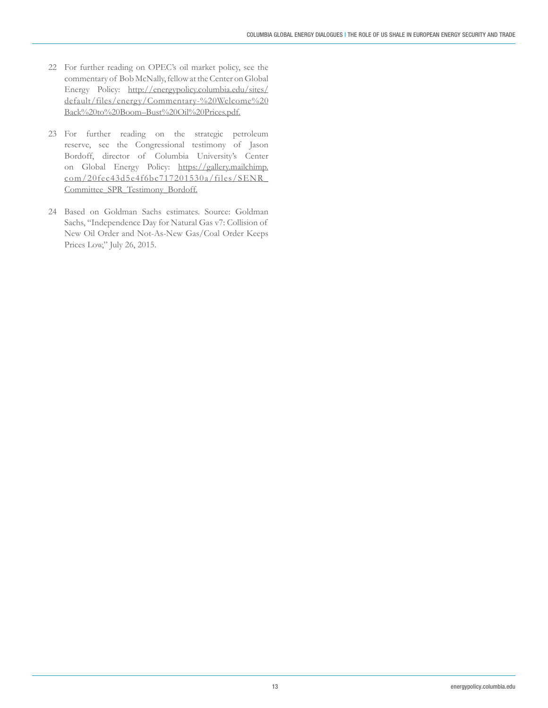- 22 For further reading on OPEC's oil market policy, see the commentary of Bob McNally, fellow at the Center on Global Energy Policy: http://energypolicy.columbia.edu/sites/ default/files/energy/Commentary-%20Welcome%20 Back%20to%20Boom–Bust%20Oil%20Prices.pdf.
- 23 For further reading on the strategic petroleum reserve, see the Congressional testimony of Jason Bordoff, director of Columbia University's Center on Global Energy Policy: https://gallery.mailchimp. com/20fec43d5e4f6bc717201530a/files/SENR\_ Committee\_SPR\_Testimony\_Bordoff.
- 24 Based on Goldman Sachs estimates. Source: Goldman Sachs, "Independence Day for Natural Gas v7: Collision of New Oil Order and Not-As-New Gas/Coal Order Keeps Prices Low," July 26, 2015.